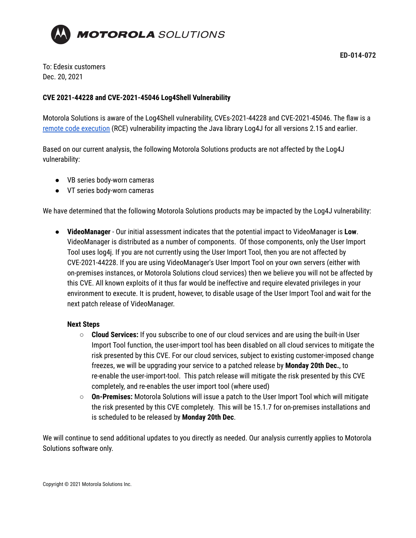

To: Edesix customers Dec. 20, 2021

## **CVE 2021-44228 and CVE-2021-45046 Log4Shell Vulnerability**

Motorola Solutions is aware of the Log4Shell vulnerability, CVEs-2021-44228 and CVE-2021-45046. The flaw is a remote code [execution](https://www.bugcrowd.com/glossary/remote-code-execution-rce/) (RCE) vulnerability impacting the Java library Log4J for all versions 2.15 and earlier.

Based on our current analysis, the following Motorola Solutions products are not affected by the Log4J vulnerability:

- VB series body-worn cameras
- VT series body-worn cameras

We have determined that the following Motorola Solutions products may be impacted by the Log4J vulnerability:

● **VideoManager** - Our initial assessment indicates that the potential impact to VideoManager is **Low**. VideoManager is distributed as a number of components. Of those components, only the User Import Tool uses log4j. If you are not currently using the User Import Tool, then you are not affected by CVE-2021-44228. If you are using VideoManager's User Import Tool on your own servers (either with on-premises instances, or Motorola Solutions cloud services) then we believe you will not be affected by this CVE. All known exploits of it thus far would be ineffective and require elevated privileges in your environment to execute. It is prudent, however, to disable usage of the User Import Tool and wait for the next patch release of VideoManager.

## **Next Steps**

- **Cloud Services:** If you subscribe to one of our cloud services and are using the built-in User Import Tool function, the user-import tool has been disabled on all cloud services to mitigate the risk presented by this CVE. For our cloud services, subject to existing customer-imposed change freezes, we will be upgrading your service to a patched release by **Monday 20th Dec.**, to re-enable the user-import-tool. This patch release will mitigate the risk presented by this CVE completely, and re-enables the user import tool (where used)
- **On-Premises:** Motorola Solutions will issue a patch to the User Import Tool which will mitigate the risk presented by this CVE completely. This will be 15.1.7 for on-premises installations and is scheduled to be released by **Monday 20th Dec**.

We will continue to send additional updates to you directly as needed. Our analysis currently applies to Motorola Solutions software only.